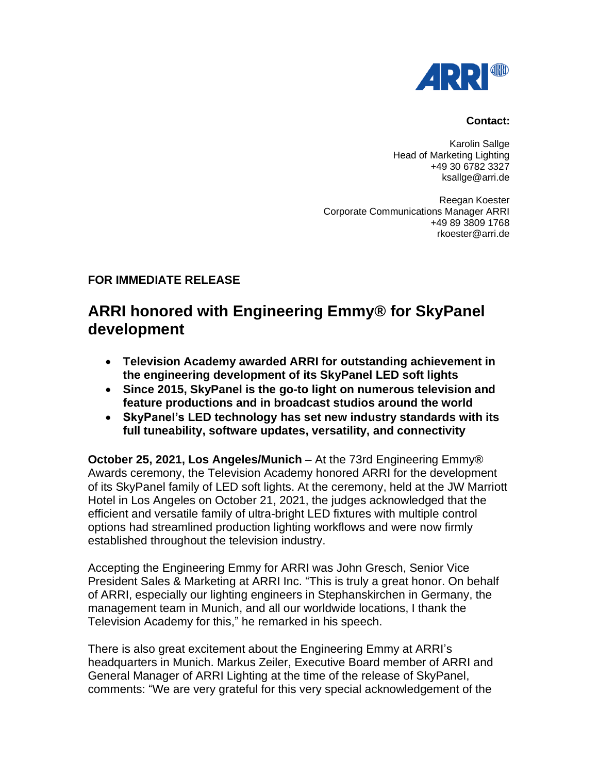

### **Contact:**

Karolin Sallge Head of Marketing Lighting +49 30 6782 3327 ksallge@arri.de

Reegan Koester Corporate Communications Manager ARRI +49 89 3809 1768 rkoester@arri.de

## **FOR IMMEDIATE RELEASE**

# **ARRI honored with Engineering Emmy® for SkyPanel development**

- **Television Academy awarded ARRI for outstanding achievement in the engineering development of its SkyPanel LED soft lights**
- **Since 2015, SkyPanel is the go-to light on numerous television and feature productions and in broadcast studios around the world**
- **SkyPanel's LED technology has set new industry standards with its full tuneability, software updates, versatility, and connectivity**

**October 25, 2021, Los Angeles/Munich** – At the 73rd Engineering Emmy® Awards ceremony, the Television Academy honored ARRI for the development of its SkyPanel family of LED soft lights. At the ceremony, held at the JW Marriott Hotel in Los Angeles on October 21, 2021, the judges acknowledged that the efficient and versatile family of ultra-bright LED fixtures with multiple control options had streamlined production lighting workflows and were now firmly established throughout the television industry.

Accepting the Engineering Emmy for ARRI was John Gresch, Senior Vice President Sales & Marketing at ARRI Inc. "This is truly a great honor. On behalf of ARRI, especially our lighting engineers in Stephanskirchen in Germany, the management team in Munich, and all our worldwide locations, I thank the Television Academy for this," he remarked in his speech.

There is also great excitement about the Engineering Emmy at ARRI's headquarters in Munich. Markus Zeiler, Executive Board member of ARRI and General Manager of ARRI Lighting at the time of the release of SkyPanel, comments: "We are very grateful for this very special acknowledgement of the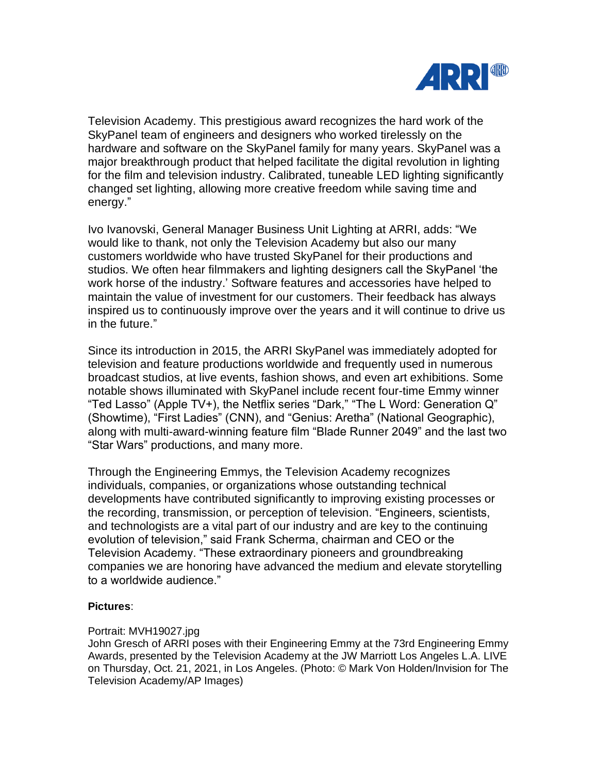

Television Academy. This prestigious award recognizes the hard work of the SkyPanel team of engineers and designers who worked tirelessly on the hardware and software on the SkyPanel family for many years. SkyPanel was a major breakthrough product that helped facilitate the digital revolution in lighting for the film and television industry. Calibrated, tuneable LED lighting significantly changed set lighting, allowing more creative freedom while saving time and energy."

Ivo Ivanovski, General Manager Business Unit Lighting at ARRI, adds: "We would like to thank, not only the Television Academy but also our many customers worldwide who have trusted SkyPanel for their productions and studios. We often hear filmmakers and lighting designers call the SkyPanel 'the work horse of the industry.' Software features and accessories have helped to maintain the value of investment for our customers. Their feedback has always inspired us to continuously improve over the years and it will continue to drive us in the future."

Since its introduction in 2015, the ARRI SkyPanel was immediately adopted for television and feature productions worldwide and frequently used in numerous broadcast studios, at live events, fashion shows, and even art exhibitions. Some notable shows illuminated with SkyPanel include recent four-time Emmy winner "Ted Lasso" (Apple TV+), the Netflix series "Dark," "The L Word: Generation Q" (Showtime), "First Ladies" (CNN), and "Genius: Aretha" (National Geographic), along with multi-award-winning feature film "Blade Runner 2049" and the last two "Star Wars" productions, and many more.

Through the Engineering Emmys, the Television Academy recognizes individuals, companies, or organizations whose outstanding technical developments have contributed significantly to improving existing processes or the recording, transmission, or perception of television. "Engineers, scientists, and technologists are a vital part of our industry and are key to the continuing evolution of television," said Frank Scherma, chairman and CEO or the Television Academy. "These extraordinary pioneers and groundbreaking companies we are honoring have advanced the medium and elevate storytelling to a worldwide audience."

## **Pictures**:

## Portrait: MVH19027.jpg

John Gresch of ARRI poses with their Engineering Emmy at the 73rd Engineering Emmy Awards, presented by the Television Academy at the JW Marriott Los Angeles L.A. LIVE on Thursday, Oct. 21, 2021, in Los Angeles. (Photo: © Mark Von Holden/Invision for The Television Academy/AP Images)